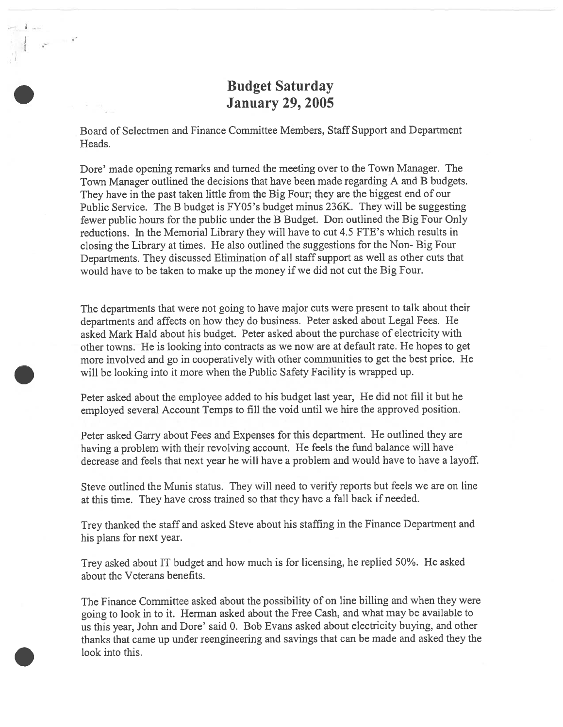## Budget Saturday January 29, 2005

Board of Selectmen and Finance Committee Members, Staff Support and Department Heads.

 $\label{eq:1} \frac{1}{\sqrt{2\pi}}\left(1-\frac{1}{2\pi}\right)^{2/3}$ 

Dore' made opening remarks and turned the meeting over to the Town Manager. The Town Manager outlined the decisions that have been made regarding <sup>A</sup> and <sup>B</sup> budgets. They have in the pas<sup>t</sup> taken little from the Big four; they are the biggest end of our Public Service. The <sup>B</sup> budget is FY05's budget minus 236K. They will be suggesting fewer public hours for the public under the <sup>B</sup> Budget. Don outlined the Big Four Only reductions. In the Memorial Library they will have to cut 4.5 FTE's which results in closing the Library at times. He also outlined the suggestions for the Non- Big Four Departments. They discussed Elimination of all staff suppor<sup>t</sup> as well as other cuts that would have to be taken to make up the money if we did not cut the Big Four.

The departments that were not going to have major cuts were presen<sup>t</sup> to talk about their departments and affects on how they do business. Peter asked about Legal Fees. He asked Mark Hald about his budget. Peter asked about the purchase of electricity with other towns. He is looking into contracts as we now are at default rate. He hopes to ge<sup>t</sup> more involved and go in cooperatively with other communities to ge<sup>t</sup> the best price. He will be looking into it more when the Public Safety facility is wrapped up.

Peter asked about the employee added to his budget last year, He did not fill it but he employed several Account Temps to fill the void until we hire the approve<sup>d</sup> position.

Peter asked Garry about Fees and Expenses for this department. He outlined they are having <sup>a</sup> problem with their revolving account. He feels the fund balance will have decrease and feels that next year he will have <sup>a</sup> problem and would have to have <sup>a</sup> layoff.

Steve outlined the Munis status. They will need to verify reports but feels we are on line at this time. They have cross trained so that they have <sup>a</sup> fall back if needed.

Trey thanked the staff and asked Steve about his staffing in the Finance Department and his plans for next year.

Trey asked about IT budget and how much is for licensing, he replied 50%. He asked about the Veterans benefits.

The Finance Committee asked about the possibility of on line billing and when they were going to look in to it. Herman asked about the Free Cash, and what may be available to us this year, John and Dore' said 0. Bob Evans asked about electricity buying, and other thanks that came up under reengineering and savings that can be made and asked they the look into this.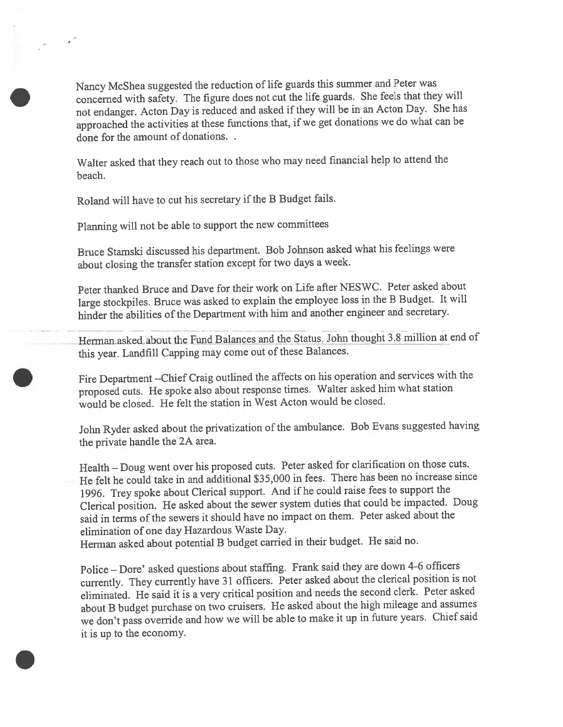Nancy McShea suggested the reduction of life guards this summer and Peter was concerned with safety. The figure does not cut the life guards. She feels that they will not endanger. Acton Day is reduced and asked ifthey will be in an Acton Day. She has approached the activities at these functions that, if we ge<sup>t</sup> donations we do what can be done for the amount of donations.

Walter asked that they reach out to those who may need financial help to attend the beach.

Roland will have to cut his secretary if the <sup>B</sup> Budget fails.

Planning will not be able to suppor<sup>t</sup> the new committees

Bruce Stamski discussed his department. Bob Johnson asked what his feelings were about closing the transfer station excep<sup>t</sup> for two days <sup>a</sup> week.

Peter thanked Bruce and Dave for their work on Life afler NESWC. Peter asked about large stockpiles. Bruce was asked to explain the employee loss in the <sup>B</sup> Budget. It will hinder the abilities of the Department with him and another engineer and secretary.

Herman asked about the Fund Balances and the Status, John thought 3.8 million at end of this year. Landfill Capping may come out of these Balances.

fire Department —Chief Craig outlined the affects on his operation and services with the propose<sup>d</sup> cuts. He spoke also about response times. Walter asked him what station would be closed. He felt the station in West Acton would be closed.

John Ryder asked about the privatization of the ambulance. Bob Evans suggested having the private handle the 2A area.

Health — Doug went over his propose<sup>d</sup> cuts. Peter asked for clarification on those cuts. He felt he could take in and additional \$35,000 in fees. There has been no increase since 1996. Trey spoke about Clerical support. And if he could raise fees to suppor<sup>t</sup> the Clerical position. He asked about the sewer system duties that could be impacted. Doug said in terms of the sewers it should have no impact on them. Peter asked about the elimination of one day Hazardous Waste Day.

Herman asked about potential <sup>B</sup> budget carried in their budget. He said no.

Police — Dore' asked questions about staffing. Frank said they are down 4-6 officers currently. They currently have <sup>31</sup> officers. Peter asked about the clerical position is not eliminated. He said it is <sup>a</sup> very critical position and needs the second clerk. Peter asked about <sup>B</sup> budget purchase on two cruisers. He asked about the high mileage and assumes we don't pass override and how we will be able to make it up in future years. Chief said it is up to the economy.